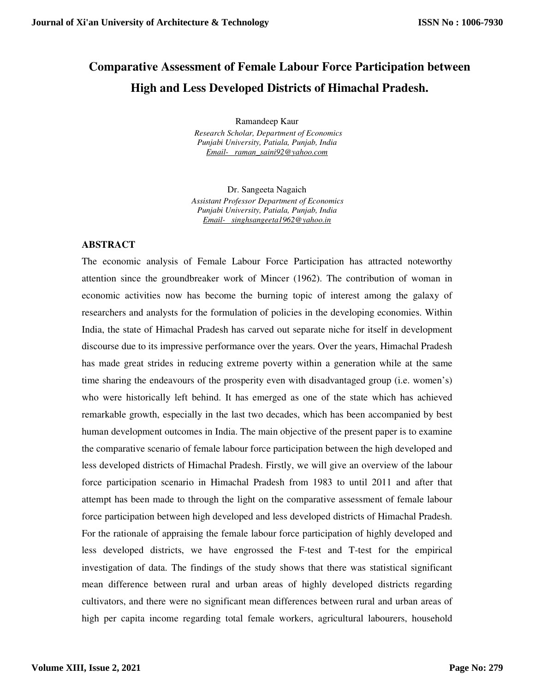# **Comparative Assessment of Female Labour Force Participation between High and Less Developed Districts of Himachal Pradesh.**

Ramandeep Kaur

 *Research Scholar, Department of Economics Punjabi University, Patiala, Punjab, India Email- raman\_saini92@yahoo.com*

Dr. Sangeeta Nagaich *Assistant Professor, Department of Economics Punjabi University, Patiala, Punjab, India Email- singhsangeeta1962@yahoo.in*

### **ABSTRACT**

The economic analysis of Female Labour Force Participation has attracted noteworthy attention since the groundbreaker work of Mincer (1962). The contribution of woman in economic activities now has become the burning topic of interest among the galaxy of researchers and analysts for the formulation of policies in the developing economies. Within India, the state of Himachal Pradesh has carved out separate niche for itself in development discourse due to its impressive performance over the years. Over the years, Himachal Pradesh has made great strides in reducing extreme poverty within a generation while at the same time sharing the endeavours of the prosperity even with disadvantaged group (i.e. women's) who were historically left behind. It has emerged as one of the state which has achieved remarkable growth, especially in the last two decades, which has been accompanied by best human development outcomes in India. The main objective of the present paper is to examine the comparative scenario of female labour force participation between the high developed and less developed districts of Himachal Pradesh. Firstly, we will give an overview of the labour force participation scenario in Himachal Pradesh from 1983 to until 2011 and after that attempt has been made to through the light on the comparative assessment of female labour force participation between high developed and less developed districts of Himachal Pradesh. For the rationale of appraising the female labour force participation of highly developed and less developed districts, we have engrossed the F-test and T-test for the empirical investigation of data. The findings of the study shows that there was statistical significant mean difference between rural and urban areas of highly developed districts regarding cultivators, and there were no significant mean differences between rural and urban areas of high per capita income regarding total female workers, agricultural labourers, household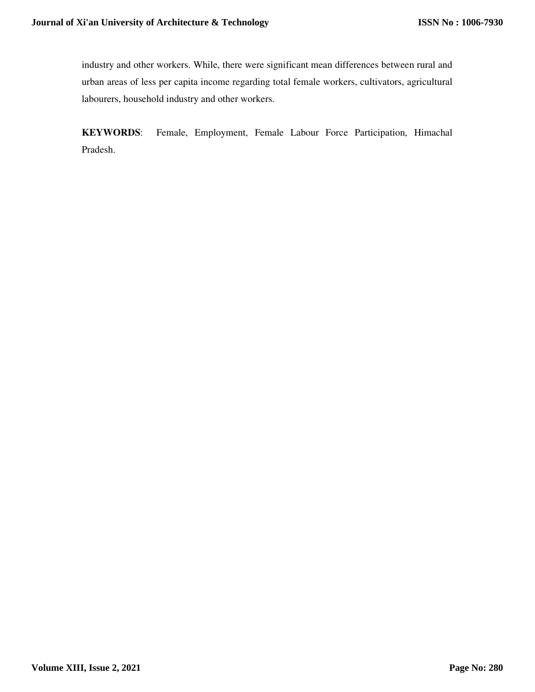industry and other workers. While, there were significant mean differences between rural and urban areas of less per capita income regarding total female workers, cultivators, agricultural labourers, household industry and other workers.

**KEYWORDS**: Female, Employment, Female Labour Force Participation, Himachal Pradesh.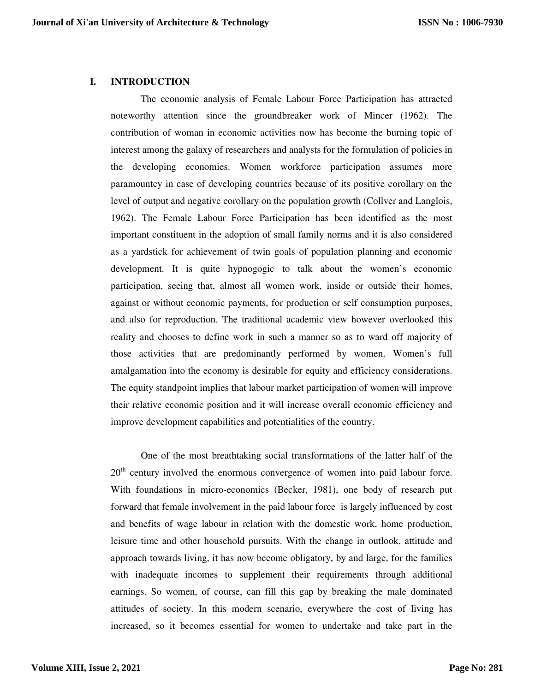#### **I. INTRODUCTION**

 The economic analysis of Female Labour Force Participation has attracted noteworthy attention since the groundbreaker work of Mincer (1962). The contribution of woman in economic activities now has become the burning topic of interest among the galaxy of researchers and analysts for the formulation of policies in the developing economies. Women workforce participation assumes more paramountcy in case of developing countries because of its positive corollary on the level of output and negative corollary on the population growth (Collver and Langlois, 1962). The Female Labour Force Participation has been identified as the most important constituent in the adoption of small family norms and it is also considered as a yardstick for achievement of twin goals of population planning and economic development. It is quite hypnogogic to talk about the women's economic participation, seeing that, almost all women work, inside or outside their homes, against or without economic payments, for production or self consumption purposes, and also for reproduction. The traditional academic view however overlooked this reality and chooses to define work in such a manner so as to ward off majority of those activities that are predominantly performed by women. Women's full amalgamation into the economy is desirable for equity and efficiency considerations. The equity standpoint implies that labour market participation of women will improve their relative economic position and it will increase overall economic efficiency and improve development capabilities and potentialities of the country.

One of the most breathtaking social transformations of the latter half of the 20<sup>th</sup> century involved the enormous convergence of women into paid labour force. With foundations in micro-economics (Becker, 1981), one body of research put forward that female involvement in the paid labour force is largely influenced by cost and benefits of wage labour in relation with the domestic work, home production, leisure time and other household pursuits. With the change in outlook, attitude and approach towards living, it has now become obligatory, by and large, for the families with inadequate incomes to supplement their requirements through additional earnings. So women, of course, can fill this gap by breaking the male dominated attitudes of society. In this modern scenario, everywhere the cost of living has increased, so it becomes essential for women to undertake and take part in the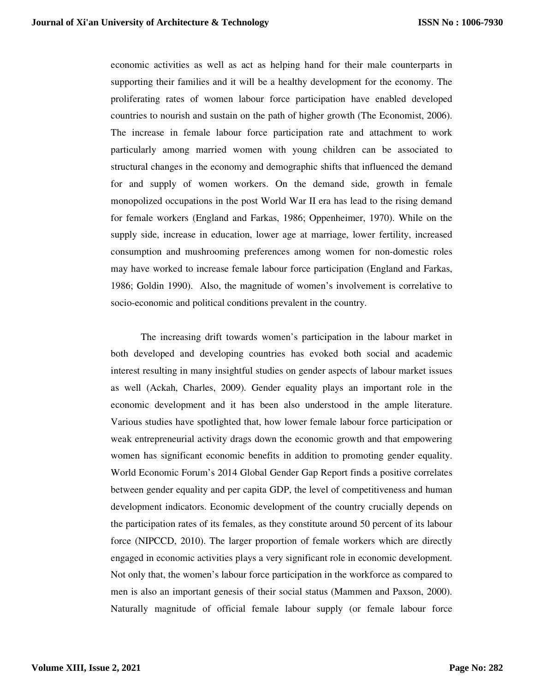economic activities as well as act as helping hand for their male counterparts in supporting their families and it will be a healthy development for the economy. The proliferating rates of women labour force participation have enabled developed countries to nourish and sustain on the path of higher growth (The Economist, 2006). The increase in female labour force participation rate and attachment to work particularly among married women with young children can be associated to structural changes in the economy and demographic shifts that influenced the demand for and supply of women workers. On the demand side, growth in female monopolized occupations in the post World War II era has lead to the rising demand for female workers (England and Farkas, 1986; Oppenheimer, 1970). While on the supply side, increase in education, lower age at marriage, lower fertility, increased consumption and mushrooming preferences among women for non-domestic roles may have worked to increase female labour force participation (England and Farkas, 1986; Goldin 1990). Also, the magnitude of women's involvement is correlative to socio-economic and political conditions prevalent in the country.

The increasing drift towards women's participation in the labour market in both developed and developing countries has evoked both social and academic interest resulting in many insightful studies on gender aspects of labour market issues as well (Ackah, Charles, 2009). Gender equality plays an important role in the economic development and it has been also understood in the ample literature. Various studies have spotlighted that, how lower female labour force participation or weak entrepreneurial activity drags down the economic growth and that empowering women has significant economic benefits in addition to promoting gender equality. World Economic Forum's 2014 Global Gender Gap Report finds a positive correlates between gender equality and per capita GDP, the level of competitiveness and human development indicators. Economic development of the country crucially depends on the participation rates of its females, as they constitute around 50 percent of its labour force (NIPCCD, 2010). The larger proportion of female workers which are directly engaged in economic activities plays a very significant role in economic development. Not only that, the women's labour force participation in the workforce as compared to men is also an important genesis of their social status (Mammen and Paxson, 2000). Naturally magnitude of official female labour supply (or female labour force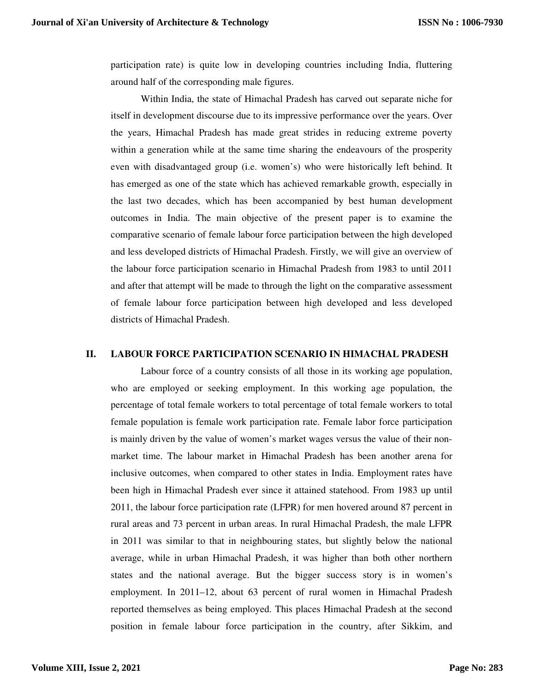participation rate) is quite low in developing countries including India, fluttering around half of the corresponding male figures.

 Within India, the state of Himachal Pradesh has carved out separate niche for itself in development discourse due to its impressive performance over the years. Over the years, Himachal Pradesh has made great strides in reducing extreme poverty within a generation while at the same time sharing the endeavours of the prosperity even with disadvantaged group (i.e. women's) who were historically left behind. It has emerged as one of the state which has achieved remarkable growth, especially in the last two decades, which has been accompanied by best human development outcomes in India. The main objective of the present paper is to examine the comparative scenario of female labour force participation between the high developed and less developed districts of Himachal Pradesh. Firstly, we will give an overview of the labour force participation scenario in Himachal Pradesh from 1983 to until 2011 and after that attempt will be made to through the light on the comparative assessment of female labour force participation between high developed and less developed districts of Himachal Pradesh.

#### **II. LABOUR FORCE PARTICIPATION SCENARIO IN HIMACHAL PRADESH**

 Labour force of a country consists of all those in its working age population, who are employed or seeking employment. In this working age population, the percentage of total female workers to total percentage of total female workers to total female population is female work participation rate. Female labor force participation is mainly driven by the value of women's market wages versus the value of their nonmarket time. The labour market in Himachal Pradesh has been another arena for inclusive outcomes, when compared to other states in India. Employment rates have been high in Himachal Pradesh ever since it attained statehood. From 1983 up until 2011, the labour force participation rate (LFPR) for men hovered around 87 percent in rural areas and 73 percent in urban areas. In rural Himachal Pradesh, the male LFPR in 2011 was similar to that in neighbouring states, but slightly below the national average, while in urban Himachal Pradesh, it was higher than both other northern states and the national average. But the bigger success story is in women's employment. In 2011–12, about 63 percent of rural women in Himachal Pradesh reported themselves as being employed. This places Himachal Pradesh at the second position in female labour force participation in the country, after Sikkim, and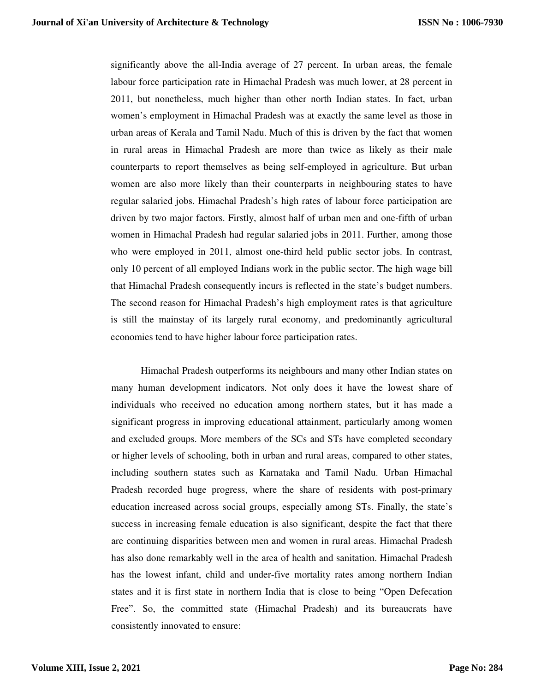significantly above the all-India average of 27 percent. In urban areas, the female labour force participation rate in Himachal Pradesh was much lower, at 28 percent in 2011, but nonetheless, much higher than other north Indian states. In fact, urban women's employment in Himachal Pradesh was at exactly the same level as those in urban areas of Kerala and Tamil Nadu. Much of this is driven by the fact that women in rural areas in Himachal Pradesh are more than twice as likely as their male counterparts to report themselves as being self-employed in agriculture. But urban women are also more likely than their counterparts in neighbouring states to have regular salaried jobs. Himachal Pradesh's high rates of labour force participation are driven by two major factors. Firstly, almost half of urban men and one-fifth of urban women in Himachal Pradesh had regular salaried jobs in 2011. Further, among those who were employed in 2011, almost one-third held public sector jobs. In contrast, only 10 percent of all employed Indians work in the public sector. The high wage bill that Himachal Pradesh consequently incurs is reflected in the state's budget numbers. The second reason for Himachal Pradesh's high employment rates is that agriculture is still the mainstay of its largely rural economy, and predominantly agricultural economies tend to have higher labour force participation rates.

 Himachal Pradesh outperforms its neighbours and many other Indian states on many human development indicators. Not only does it have the lowest share of individuals who received no education among northern states, but it has made a significant progress in improving educational attainment, particularly among women and excluded groups. More members of the SCs and STs have completed secondary or higher levels of schooling, both in urban and rural areas, compared to other states, including southern states such as Karnataka and Tamil Nadu. Urban Himachal Pradesh recorded huge progress, where the share of residents with post-primary education increased across social groups, especially among STs. Finally, the state's success in increasing female education is also significant, despite the fact that there are continuing disparities between men and women in rural areas. Himachal Pradesh has also done remarkably well in the area of health and sanitation. Himachal Pradesh has the lowest infant, child and under-five mortality rates among northern Indian states and it is first state in northern India that is close to being "Open Defecation Free". So, the committed state (Himachal Pradesh) and its bureaucrats have consistently innovated to ensure: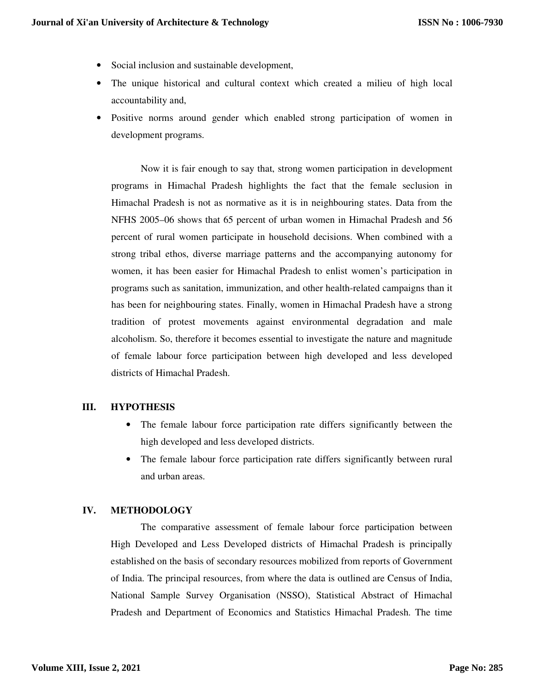- Social inclusion and sustainable development,
- The unique historical and cultural context which created a milieu of high local accountability and,
- Positive norms around gender which enabled strong participation of women in development programs.

 Now it is fair enough to say that, strong women participation in development programs in Himachal Pradesh highlights the fact that the female seclusion in Himachal Pradesh is not as normative as it is in neighbouring states. Data from the NFHS 2005–06 shows that 65 percent of urban women in Himachal Pradesh and 56 percent of rural women participate in household decisions. When combined with a strong tribal ethos, diverse marriage patterns and the accompanying autonomy for women, it has been easier for Himachal Pradesh to enlist women's participation in programs such as sanitation, immunization, and other health-related campaigns than it has been for neighbouring states. Finally, women in Himachal Pradesh have a strong tradition of protest movements against environmental degradation and male alcoholism. So, therefore it becomes essential to investigate the nature and magnitude of female labour force participation between high developed and less developed districts of Himachal Pradesh.

#### **III. HYPOTHESIS**

- The female labour force participation rate differs significantly between the high developed and less developed districts.
- The female labour force participation rate differs significantly between rural and urban areas.

#### **IV. METHODOLOGY**

 The comparative assessment of female labour force participation between High Developed and Less Developed districts of Himachal Pradesh is principally established on the basis of secondary resources mobilized from reports of Government of India. The principal resources, from where the data is outlined are Census of India, National Sample Survey Organisation (NSSO), Statistical Abstract of Himachal Pradesh and Department of Economics and Statistics Himachal Pradesh. The time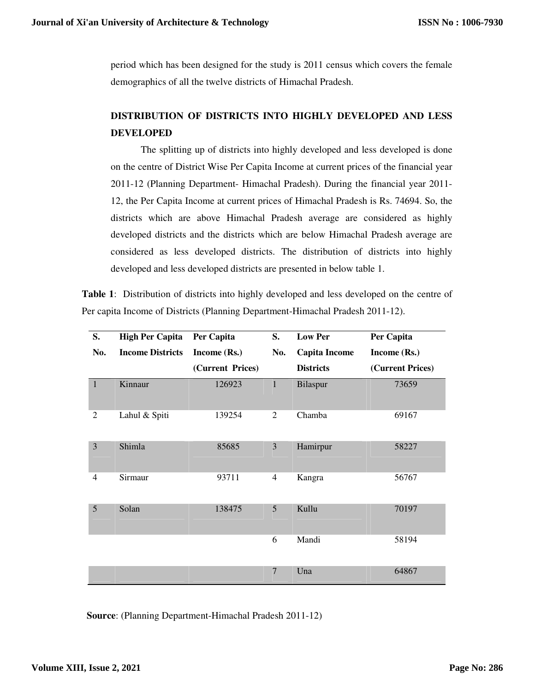period which has been designed for the study is 2011 census which covers the female demographics of all the twelve districts of Himachal Pradesh.

## **DISTRIBUTION OF DISTRICTS INTO HIGHLY DEVELOPED AND LESS DEVELOPED**

 The splitting up of districts into highly developed and less developed is done on the centre of District Wise Per Capita Income at current prices of the financial year 2011-12 (Planning Department- Himachal Pradesh). During the financial year 2011- 12, the Per Capita Income at current prices of Himachal Pradesh is Rs. 74694. So, the districts which are above Himachal Pradesh average are considered as highly developed districts and the districts which are below Himachal Pradesh average are considered as less developed districts. The distribution of districts into highly developed and less developed districts are presented in below table 1.

**Table 1**: Distribution of districts into highly developed and less developed on the centre of Per capita Income of Districts (Planning Department-Himachal Pradesh 2011-12).

| S.             | <b>High Per Capita</b>  | Per Capita       | S.             | <b>Low Per</b>       | Per Capita       |
|----------------|-------------------------|------------------|----------------|----------------------|------------------|
| No.            | <b>Income Districts</b> | Income (Rs.)     | No.            | <b>Capita Income</b> | Income (Rs.)     |
|                |                         | (Current Prices) |                | <b>Districts</b>     | (Current Prices) |
| $\mathbf{1}$   | Kinnaur                 | 126923           | $\mathbf{1}$   | Bilaspur             | 73659            |
| 2              | Lahul & Spiti           | 139254           | 2              | Chamba               | 69167            |
| 3              | Shimla                  | 85685            | $\overline{3}$ | Hamirpur             | 58227            |
| $\overline{4}$ | Sirmaur                 | 93711            | $\overline{4}$ | Kangra               | 56767            |
| 5              | Solan                   | 138475           | 5              | Kullu                | 70197            |
|                |                         |                  | 6              | Mandi                | 58194            |
|                |                         |                  | $\overline{7}$ | Una                  | 64867            |

**Source**: (Planning Department-Himachal Pradesh 2011-12)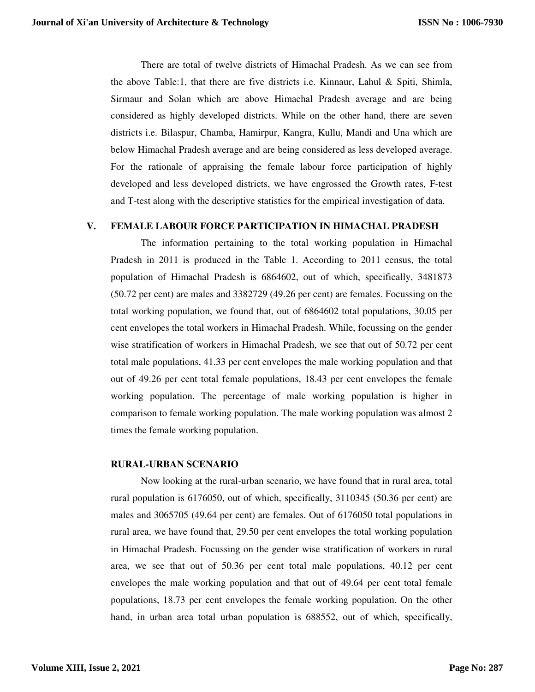There are total of twelve districts of Himachal Pradesh. As we can see from the above Table:1, that there are five districts i.e. Kinnaur, Lahul & Spiti, Shimla, Sirmaur and Solan which are above Himachal Pradesh average and are being considered as highly developed districts. While on the other hand, there are seven districts i.e. Bilaspur, Chamba, Hamirpur, Kangra, Kullu, Mandi and Una which are below Himachal Pradesh average and are being considered as less developed average. For the rationale of appraising the female labour force participation of highly developed and less developed districts, we have engrossed the Growth rates, F-test and T-test along with the descriptive statistics for the empirical investigation of data.

#### **V. FEMALE LABOUR FORCE PARTICIPATION IN HIMACHAL PRADESH**

The information pertaining to the total working population in Himachal Pradesh in 2011 is produced in the Table 1. According to 2011 census, the total population of Himachal Pradesh is 6864602, out of which, specifically, 3481873 (50.72 per cent) are males and 3382729 (49.26 per cent) are females. Focussing on the total working population, we found that, out of 6864602 total populations, 30.05 per cent envelopes the total workers in Himachal Pradesh. While, focussing on the gender wise stratification of workers in Himachal Pradesh, we see that out of 50.72 per cent total male populations, 41.33 per cent envelopes the male working population and that out of 49.26 per cent total female populations, 18.43 per cent envelopes the female working population. The percentage of male working population is higher in comparison to female working population. The male working population was almost 2 times the female working population.

#### **RURAL-URBAN SCENARIO**

 Now looking at the rural-urban scenario, we have found that in rural area, total rural population is 6176050, out of which, specifically, 3110345 (50.36 per cent) are males and 3065705 (49.64 per cent) are females. Out of 6176050 total populations in rural area, we have found that, 29.50 per cent envelopes the total working population in Himachal Pradesh. Focussing on the gender wise stratification of workers in rural area, we see that out of 50.36 per cent total male populations, 40.12 per cent envelopes the male working population and that out of 49.64 per cent total female populations, 18.73 per cent envelopes the female working population. On the other hand, in urban area total urban population is 688552, out of which, specifically,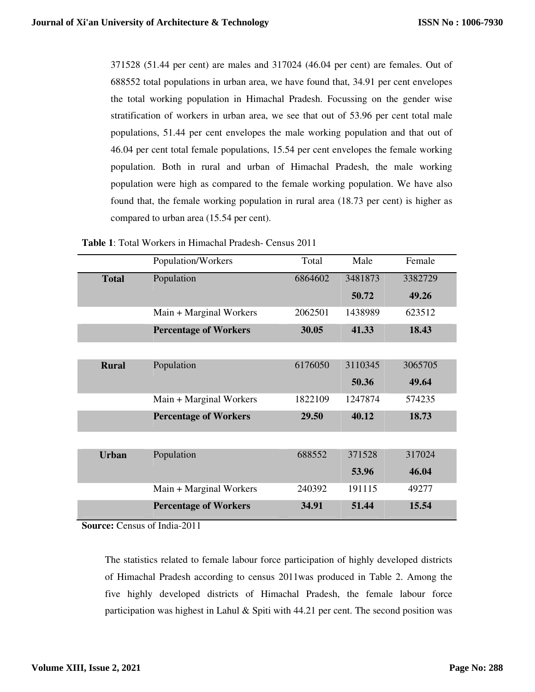371528 (51.44 per cent) are males and 317024 (46.04 per cent) are females. Out of 688552 total populations in urban area, we have found that, 34.91 per cent envelopes the total working population in Himachal Pradesh. Focussing on the gender wise stratification of workers in urban area, we see that out of 53.96 per cent total male populations, 51.44 per cent envelopes the male working population and that out of 46.04 per cent total female populations, 15.54 per cent envelopes the female working population. Both in rural and urban of Himachal Pradesh, the male working population were high as compared to the female working population. We have also found that, the female working population in rural area (18.73 per cent) is higher as compared to urban area (15.54 per cent).

|              | Population/Workers           | Total   | Male    | Female  |
|--------------|------------------------------|---------|---------|---------|
| <b>Total</b> | Population                   | 6864602 | 3481873 | 3382729 |
|              |                              |         | 50.72   | 49.26   |
|              | Main + Marginal Workers      | 2062501 | 1438989 | 623512  |
|              | <b>Percentage of Workers</b> | 30.05   | 41.33   | 18.43   |
|              |                              |         |         |         |
| <b>Rural</b> | Population                   | 6176050 | 3110345 | 3065705 |
|              |                              |         | 50.36   | 49.64   |
|              | Main + Marginal Workers      | 1822109 | 1247874 | 574235  |
|              | <b>Percentage of Workers</b> | 29.50   | 40.12   | 18.73   |
|              |                              |         |         |         |
| <b>Urban</b> | Population                   | 688552  | 371528  | 317024  |
|              |                              |         | 53.96   | 46.04   |
|              | Main + Marginal Workers      | 240392  | 191115  | 49277   |
|              | <b>Percentage of Workers</b> | 34.91   | 51.44   | 15.54   |

**Source:** Census of India-2011

The statistics related to female labour force participation of highly developed districts of Himachal Pradesh according to census 2011was produced in Table 2. Among the five highly developed districts of Himachal Pradesh, the female labour force participation was highest in Lahul & Spiti with  $44.21$  per cent. The second position was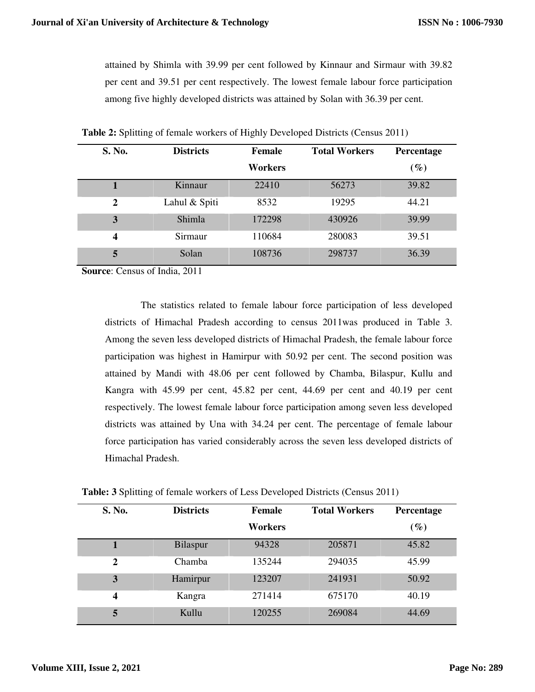attained by Shimla with 39.99 per cent followed by Kinnaur and Sirmaur with 39.82 per cent and 39.51 per cent respectively. The lowest female labour force participation among five highly developed districts was attained by Solan with 36.39 per cent.

| S. No.                  | <b>Districts</b> | Female  | <b>Total Workers</b> | Percentage |
|-------------------------|------------------|---------|----------------------|------------|
|                         |                  | Workers |                      | $(\%)$     |
|                         | Kinnaur          | 22410   | 56273                | 39.82      |
| $\overline{2}$          | Lahul & Spiti    | 8532    | 19295                | 44.21      |
| 3                       | Shimla           | 172298  | 430926               | 39.99      |
| $\overline{\mathbf{4}}$ | Sirmaur          | 110684  | 280083               | 39.51      |
| 5                       | Solan            | 108736  | 298737               | 36.39      |

**Table 2:** Splitting of female workers of Highly Developed Districts (Census 2011)

**Source**: Census of India, 2011

 The statistics related to female labour force participation of less developed districts of Himachal Pradesh according to census 2011was produced in Table 3. Among the seven less developed districts of Himachal Pradesh, the female labour force participation was highest in Hamirpur with 50.92 per cent. The second position was attained by Mandi with 48.06 per cent followed by Chamba, Bilaspur, Kullu and Kangra with 45.99 per cent, 45.82 per cent, 44.69 per cent and 40.19 per cent respectively. The lowest female labour force participation among seven less developed districts was attained by Una with 34.24 per cent. The percentage of female labour force participation has varied considerably across the seven less developed districts of Himachal Pradesh.

| S. No.       | <b>Districts</b> | <b>Female</b> | <b>Total Workers</b> | Percentage                         |
|--------------|------------------|---------------|----------------------|------------------------------------|
|              |                  | Workers       |                      | $\left( \mathscr{G}_{\ell}\right)$ |
|              | Bilaspur         | 94328         | 205871               | 45.82                              |
| $\mathbf{2}$ | Chamba           | 135244        | 294035               | 45.99                              |
| 3            | Hamirpur         | 123207        | 241931               | 50.92                              |
| 4            | Kangra           | 271414        | 675170               | 40.19                              |
| 5            | Kullu            | 120255        | 269084               | 44.69                              |

**Table: 3** Splitting of female workers of Less Developed Districts (Census 2011)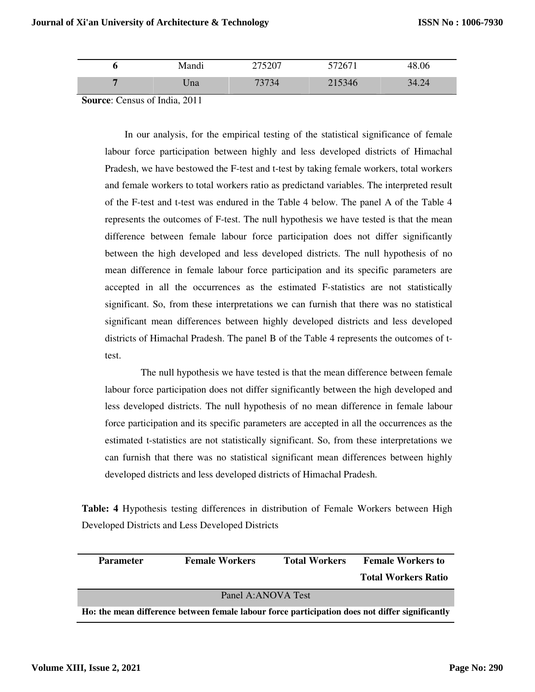| $\rightarrow$<br><b>Mandı</b> | 75007<br>21201 | 572671 | 48.06 |
|-------------------------------|----------------|--------|-------|
| Ina                           | ワクワク<br>34     | 215346 | 34.24 |

**Source**: Census of India, 2011

In our analysis, for the empirical testing of the statistical significance of female labour force participation between highly and less developed districts of Himachal Pradesh, we have bestowed the F-test and t-test by taking female workers, total workers and female workers to total workers ratio as predictand variables. The interpreted result of the F-test and t-test was endured in the Table 4 below. The panel A of the Table 4 represents the outcomes of F-test. The null hypothesis we have tested is that the mean difference between female labour force participation does not differ significantly between the high developed and less developed districts. The null hypothesis of no mean difference in female labour force participation and its specific parameters are accepted in all the occurrences as the estimated F-statistics are not statistically significant. So, from these interpretations we can furnish that there was no statistical significant mean differences between highly developed districts and less developed districts of Himachal Pradesh. The panel B of the Table 4 represents the outcomes of ttest.

 The null hypothesis we have tested is that the mean difference between female labour force participation does not differ significantly between the high developed and less developed districts. The null hypothesis of no mean difference in female labour force participation and its specific parameters are accepted in all the occurrences as the estimated t-statistics are not statistically significant. So, from these interpretations we can furnish that there was no statistical significant mean differences between highly developed districts and less developed districts of Himachal Pradesh.

**Table: 4** Hypothesis testing differences in distribution of Female Workers between High Developed Districts and Less Developed Districts

| <b>Parameter</b> | <b>Female Workers</b>                                                                           | <b>Total Workers</b> | <b>Female Workers to</b>   |
|------------------|-------------------------------------------------------------------------------------------------|----------------------|----------------------------|
|                  |                                                                                                 |                      | <b>Total Workers Ratio</b> |
|                  | Panel A:ANOVA Test                                                                              |                      |                            |
|                  | Ho: the mean difference between female labour force participation does not differ significantly |                      |                            |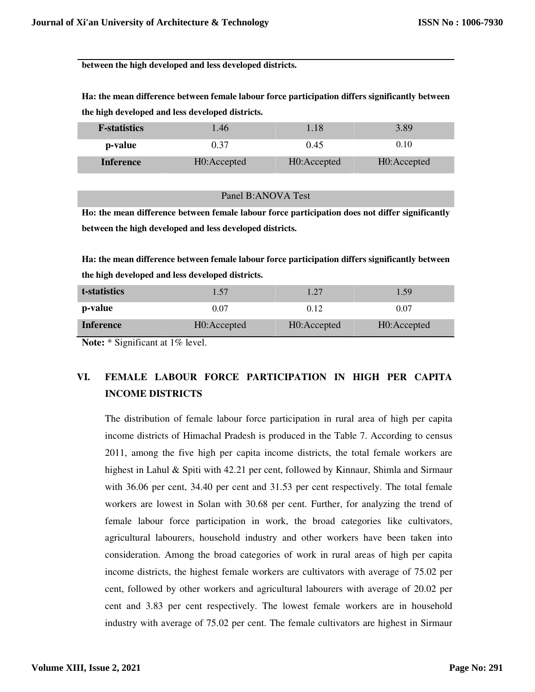**between the high developed and less developed districts.** 

**Ha: the mean difference between female labour force participation differs significantly between the high developed and less developed districts.** 

| <b>F</b> -statistics | 1.46        | . 18        | 3.89        |  |
|----------------------|-------------|-------------|-------------|--|
| p-value              | 0.37        | 0.45        | 0.10        |  |
| <b>Inference</b>     | H0:Accepted | H0:Accepted | H0:Accepted |  |

|  | Panel B:ANOVA Test |  |
|--|--------------------|--|
|--|--------------------|--|

**Ho: the mean difference between female labour force participation does not differ significantly between the high developed and less developed districts.** 

**Ha: the mean difference between female labour force participation differs significantly between the high developed and less developed districts.**

| t-statistics     | 1.57        | 1.27        | 1.59        |
|------------------|-------------|-------------|-------------|
| p-value          | 0.07        | 0.12        | 0.07        |
| <b>Inference</b> | H0:Accepted | H0:Accepted | H0:Accepted |

**Note:** \* Significant at 1% level.

# **VI. FEMALE LABOUR FORCE PARTICIPATION IN HIGH PER CAPITA INCOME DISTRICTS**

The distribution of female labour force participation in rural area of high per capita income districts of Himachal Pradesh is produced in the Table 7. According to census 2011, among the five high per capita income districts, the total female workers are highest in Lahul & Spiti with 42.21 per cent, followed by Kinnaur, Shimla and Sirmaur with 36.06 per cent, 34.40 per cent and 31.53 per cent respectively. The total female workers are lowest in Solan with 30.68 per cent. Further, for analyzing the trend of female labour force participation in work, the broad categories like cultivators, agricultural labourers, household industry and other workers have been taken into consideration. Among the broad categories of work in rural areas of high per capita income districts, the highest female workers are cultivators with average of 75.02 per cent, followed by other workers and agricultural labourers with average of 20.02 per cent and 3.83 per cent respectively. The lowest female workers are in household industry with average of 75.02 per cent. The female cultivators are highest in Sirmaur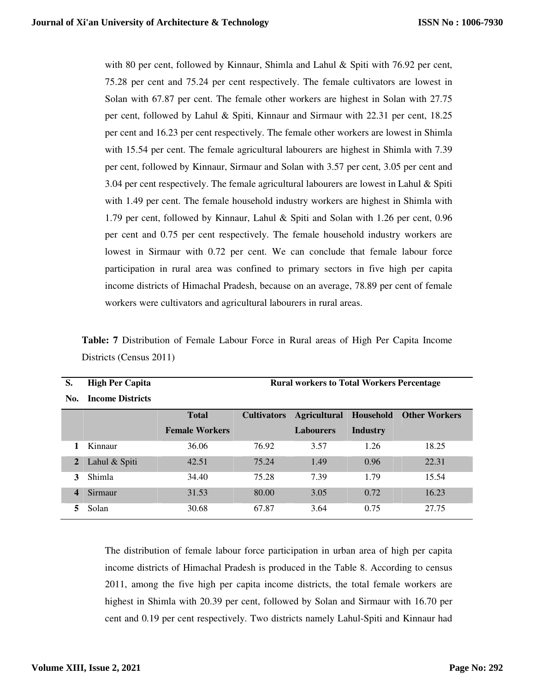with 80 per cent, followed by Kinnaur, Shimla and Lahul  $\&$  Spiti with 76.92 per cent, 75.28 per cent and 75.24 per cent respectively. The female cultivators are lowest in Solan with 67.87 per cent. The female other workers are highest in Solan with 27.75 per cent, followed by Lahul & Spiti, Kinnaur and Sirmaur with 22.31 per cent, 18.25 per cent and 16.23 per cent respectively. The female other workers are lowest in Shimla with 15.54 per cent. The female agricultural labourers are highest in Shimla with 7.39 per cent, followed by Kinnaur, Sirmaur and Solan with 3.57 per cent, 3.05 per cent and 3.04 per cent respectively. The female agricultural labourers are lowest in Lahul & Spiti with 1.49 per cent. The female household industry workers are highest in Shimla with 1.79 per cent, followed by Kinnaur, Lahul & Spiti and Solan with 1.26 per cent, 0.96 per cent and 0.75 per cent respectively. The female household industry workers are lowest in Sirmaur with 0.72 per cent. We can conclude that female labour force participation in rural area was confined to primary sectors in five high per capita income districts of Himachal Pradesh, because on an average, 78.89 per cent of female workers were cultivators and agricultural labourers in rural areas.

| S.               | <b>High Per Capita</b>  | <b>Rural workers to Total Workers Percentage</b> |                    |                     |          |                                |  |  |
|------------------|-------------------------|--------------------------------------------------|--------------------|---------------------|----------|--------------------------------|--|--|
| No.              | <b>Income Districts</b> |                                                  |                    |                     |          |                                |  |  |
|                  |                         | <b>Total</b>                                     | <b>Cultivators</b> | <b>Agricultural</b> |          | <b>Household</b> Other Workers |  |  |
|                  |                         | <b>Female Workers</b>                            |                    | <b>Labourers</b>    | Industry |                                |  |  |
|                  | Kinnaur                 | 36.06                                            | 76.92              | 3.57                | 1.26     | 18.25                          |  |  |
| 2                | Lahul & Spiti           | 42.51                                            | 75.24              | 1.49                | 0.96     | 22.31                          |  |  |
| 3                | Shimla                  | 34.40                                            | 75.28              | 7.39                | 1.79     | 15.54                          |  |  |
| $\boldsymbol{4}$ | Sirmaur                 | 31.53                                            | 80.00              | 3.05                | 0.72     | 16.23                          |  |  |
|                  | Solan                   | 30.68                                            | 67.87              | 3.64                | 0.75     | 27.75                          |  |  |

**Table: 7** Distribution of Female Labour Force in Rural areas of High Per Capita Income Districts (Census 2011)

The distribution of female labour force participation in urban area of high per capita income districts of Himachal Pradesh is produced in the Table 8. According to census 2011, among the five high per capita income districts, the total female workers are highest in Shimla with 20.39 per cent, followed by Solan and Sirmaur with 16.70 per cent and 0.19 per cent respectively. Two districts namely Lahul-Spiti and Kinnaur had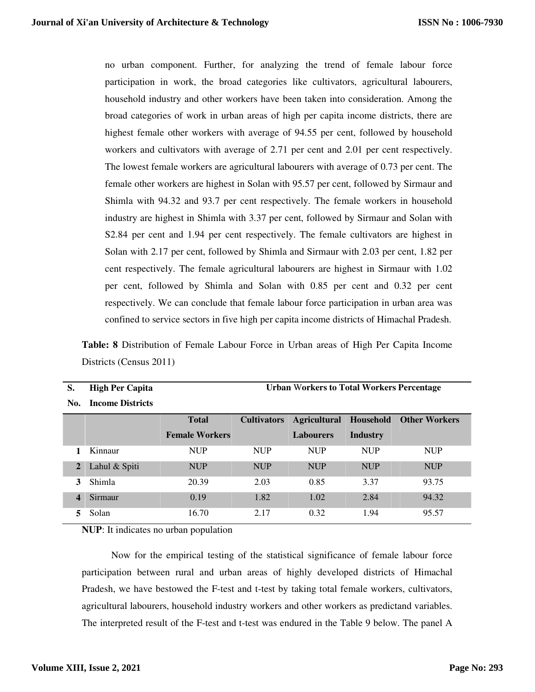no urban component. Further, for analyzing the trend of female labour force participation in work, the broad categories like cultivators, agricultural labourers, household industry and other workers have been taken into consideration. Among the broad categories of work in urban areas of high per capita income districts, there are highest female other workers with average of 94.55 per cent, followed by household workers and cultivators with average of 2.71 per cent and 2.01 per cent respectively. The lowest female workers are agricultural labourers with average of 0.73 per cent. The female other workers are highest in Solan with 95.57 per cent, followed by Sirmaur and Shimla with 94.32 and 93.7 per cent respectively. The female workers in household industry are highest in Shimla with 3.37 per cent, followed by Sirmaur and Solan with S2.84 per cent and 1.94 per cent respectively. The female cultivators are highest in Solan with 2.17 per cent, followed by Shimla and Sirmaur with 2.03 per cent, 1.82 per cent respectively. The female agricultural labourers are highest in Sirmaur with 1.02 per cent, followed by Shimla and Solan with 0.85 per cent and 0.32 per cent respectively. We can conclude that female labour force participation in urban area was confined to service sectors in five high per capita income districts of Himachal Pradesh.

**Table: 8** Distribution of Female Labour Force in Urban areas of High Per Capita Income Districts (Census 2011)

| S.                      | <b>High Per Capita</b>  | <b>Urban Workers to Total Workers Percentage</b> |            |                                 |            |                      |
|-------------------------|-------------------------|--------------------------------------------------|------------|---------------------------------|------------|----------------------|
| No.                     | <b>Income Districts</b> |                                                  |            |                                 |            |                      |
|                         |                         | <b>Total</b>                                     |            | <b>Cultivators Agricultural</b> | Household  | <b>Other Workers</b> |
|                         |                         | <b>Female Workers</b>                            |            | <b>Labourers</b>                | Industry   |                      |
|                         | Kinnaur                 | <b>NUP</b>                                       | <b>NUP</b> | <b>NUP</b>                      | <b>NUP</b> | <b>NUP</b>           |
| $\overline{2}$          | Lahul & Spiti           | <b>NUP</b>                                       | <b>NUP</b> | <b>NUP</b>                      | <b>NUP</b> | <b>NUP</b>           |
| 3                       | Shimla                  | 20.39                                            | 2.03       | 0.85                            | 3.37       | 93.75                |
| $\overline{\mathbf{4}}$ | Sirmaur                 | 0.19                                             | 1.82       | 1.02                            | 2.84       | 94.32                |
| 5.                      | Solan                   | 16.70                                            | 2.17       | 0.32                            | 1.94       | 95.57                |

**NUP**: It indicates no urban population

 Now for the empirical testing of the statistical significance of female labour force participation between rural and urban areas of highly developed districts of Himachal Pradesh, we have bestowed the F-test and t-test by taking total female workers, cultivators, agricultural labourers, household industry workers and other workers as predictand variables. The interpreted result of the F-test and t-test was endured in the Table 9 below. The panel A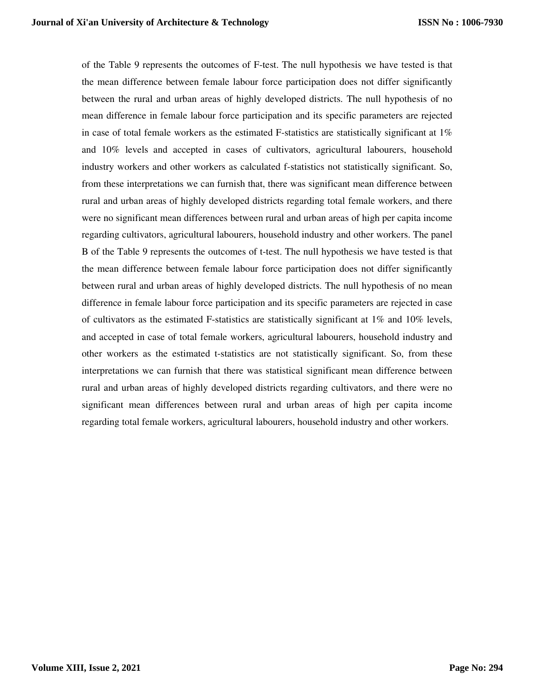of the Table 9 represents the outcomes of F-test. The null hypothesis we have tested is that the mean difference between female labour force participation does not differ significantly between the rural and urban areas of highly developed districts. The null hypothesis of no mean difference in female labour force participation and its specific parameters are rejected in case of total female workers as the estimated F-statistics are statistically significant at  $1\%$ and 10% levels and accepted in cases of cultivators, agricultural labourers, household industry workers and other workers as calculated f-statistics not statistically significant. So, from these interpretations we can furnish that, there was significant mean difference between rural and urban areas of highly developed districts regarding total female workers, and there were no significant mean differences between rural and urban areas of high per capita income regarding cultivators, agricultural labourers, household industry and other workers. The panel B of the Table 9 represents the outcomes of t-test. The null hypothesis we have tested is that the mean difference between female labour force participation does not differ significantly between rural and urban areas of highly developed districts. The null hypothesis of no mean difference in female labour force participation and its specific parameters are rejected in case of cultivators as the estimated F-statistics are statistically significant at 1% and 10% levels, and accepted in case of total female workers, agricultural labourers, household industry and other workers as the estimated t-statistics are not statistically significant. So, from these interpretations we can furnish that there was statistical significant mean difference between rural and urban areas of highly developed districts regarding cultivators, and there were no significant mean differences between rural and urban areas of high per capita income regarding total female workers, agricultural labourers, household industry and other workers.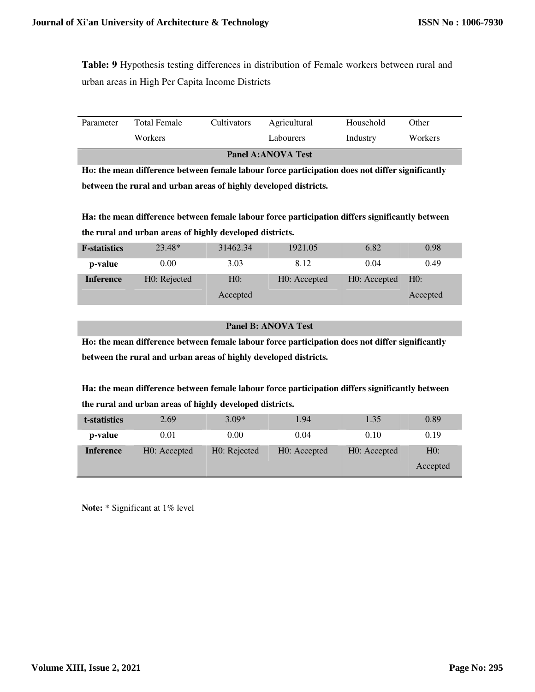**Table: 9** Hypothesis testing differences in distribution of Female workers between rural and urban areas in High Per Capita Income Districts

| <b>Panel A:ANOVA Test</b> |                |                    |              |           |         |  |  |
|---------------------------|----------------|--------------------|--------------|-----------|---------|--|--|
|                           | <b>Workers</b> |                    | Labourers    | Industry  | Workers |  |  |
| Parameter                 | Total Female   | <b>Cultivators</b> | Agricultural | Household | Other   |  |  |

**Ho: the mean difference between female labour force participation does not differ significantly between the rural and urban areas of highly developed districts.** 

**Ha: the mean difference between female labour force participation differs significantly between the rural and urban areas of highly developed districts.** 

| <b>F</b> -statistics | 23.48*       | 31462.34 | 1921.05      | 6.82         | 0.98     |
|----------------------|--------------|----------|--------------|--------------|----------|
| p-value              | 0.00         | 3.03     | 8.12         | 0.04         | 0.49     |
| <b>Inference</b>     | H0: Rejected | H0:      | H0: Accepted | H0: Accepted | H0:      |
|                      |              | Accepted |              |              | Accepted |

#### **Panel B: ANOVA Test**

**Ho: the mean difference between female labour force participation does not differ significantly between the rural and urban areas of highly developed districts.** 

**Ha: the mean difference between female labour force participation differs significantly between the rural and urban areas of highly developed districts.** 

| t-statistics     | 2.69         | $3.09*$      | 1.94         | 1.35         | 0.89            |
|------------------|--------------|--------------|--------------|--------------|-----------------|
| p-value          | 0.01         | 0.00         | 0.04         | 0.10         | 0.19            |
| <b>Inference</b> | H0: Accepted | H0: Rejected | H0: Accepted | H0: Accepted | HO:<br>Accepted |
|                  |              |              |              |              |                 |

**Note:** \* Significant at 1% level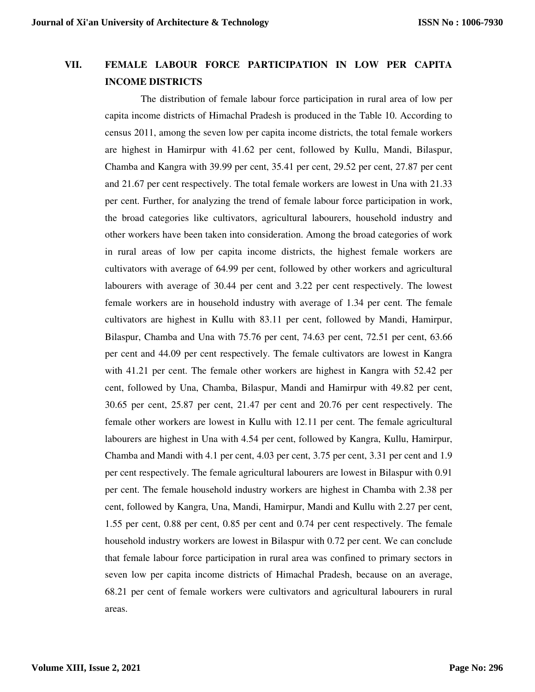### **VII. FEMALE LABOUR FORCE PARTICIPATION IN LOW PER CAPITA INCOME DISTRICTS**

The distribution of female labour force participation in rural area of low per capita income districts of Himachal Pradesh is produced in the Table 10. According to census 2011, among the seven low per capita income districts, the total female workers are highest in Hamirpur with 41.62 per cent, followed by Kullu, Mandi, Bilaspur, Chamba and Kangra with 39.99 per cent, 35.41 per cent, 29.52 per cent, 27.87 per cent and 21.67 per cent respectively. The total female workers are lowest in Una with 21.33 per cent. Further, for analyzing the trend of female labour force participation in work, the broad categories like cultivators, agricultural labourers, household industry and other workers have been taken into consideration. Among the broad categories of work in rural areas of low per capita income districts, the highest female workers are cultivators with average of 64.99 per cent, followed by other workers and agricultural labourers with average of 30.44 per cent and 3.22 per cent respectively. The lowest female workers are in household industry with average of 1.34 per cent. The female cultivators are highest in Kullu with 83.11 per cent, followed by Mandi, Hamirpur, Bilaspur, Chamba and Una with 75.76 per cent, 74.63 per cent, 72.51 per cent, 63.66 per cent and 44.09 per cent respectively. The female cultivators are lowest in Kangra with 41.21 per cent. The female other workers are highest in Kangra with 52.42 per cent, followed by Una, Chamba, Bilaspur, Mandi and Hamirpur with 49.82 per cent, 30.65 per cent, 25.87 per cent, 21.47 per cent and 20.76 per cent respectively. The female other workers are lowest in Kullu with 12.11 per cent. The female agricultural labourers are highest in Una with 4.54 per cent, followed by Kangra, Kullu, Hamirpur, Chamba and Mandi with 4.1 per cent, 4.03 per cent, 3.75 per cent, 3.31 per cent and 1.9 per cent respectively. The female agricultural labourers are lowest in Bilaspur with 0.91 per cent. The female household industry workers are highest in Chamba with 2.38 per cent, followed by Kangra, Una, Mandi, Hamirpur, Mandi and Kullu with 2.27 per cent, 1.55 per cent, 0.88 per cent, 0.85 per cent and 0.74 per cent respectively. The female household industry workers are lowest in Bilaspur with 0.72 per cent. We can conclude that female labour force participation in rural area was confined to primary sectors in seven low per capita income districts of Himachal Pradesh, because on an average, 68.21 per cent of female workers were cultivators and agricultural labourers in rural areas.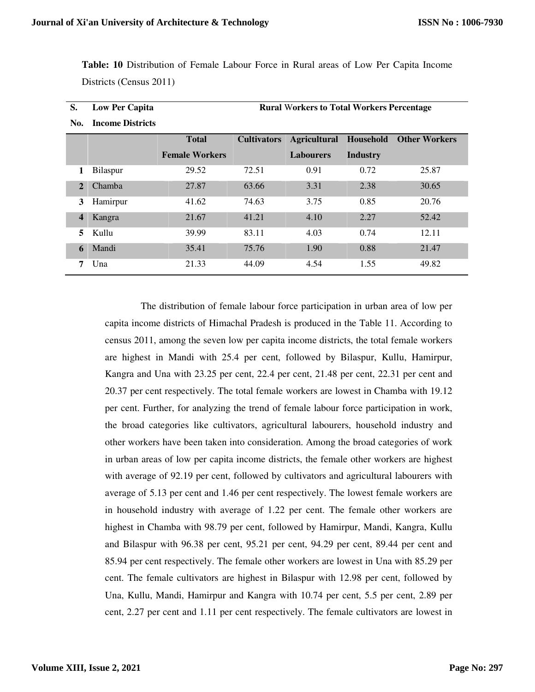**Table: 10** Distribution of Female Labour Force in Rural areas of Low Per Capita Income Districts (Census 2011)

| S.           | <b>Low Per Capita</b>   | <b>Rural Workers to Total Workers Percentage</b> |                    |                     |           |                      |  |  |
|--------------|-------------------------|--------------------------------------------------|--------------------|---------------------|-----------|----------------------|--|--|
| No.          | <b>Income Districts</b> |                                                  |                    |                     |           |                      |  |  |
|              |                         | <b>Total</b>                                     | <b>Cultivators</b> | <b>Agricultural</b> | Household | <b>Other Workers</b> |  |  |
|              |                         | <b>Female Workers</b>                            |                    | <b>Labourers</b>    | Industry  |                      |  |  |
|              | Bilaspur                | 29.52                                            | 72.51              | 0.91                | 0.72      | 25.87                |  |  |
| $\mathbf{2}$ | Chamba                  | 27.87                                            | 63.66              | 3.31                | 2.38      | 30.65                |  |  |
| 3            | Hamirpur                | 41.62                                            | 74.63              | 3.75                | 0.85      | 20.76                |  |  |
| 4            | Kangra                  | 21.67                                            | 41.21              | 4.10                | 2.27      | 52.42                |  |  |
| 5            | Kullu                   | 39.99                                            | 83.11              | 4.03                | 0.74      | 12.11                |  |  |
| 6            | Mandi                   | 35.41                                            | 75.76              | 1.90                | 0.88      | 21.47                |  |  |
| 7            | Una                     | 21.33                                            | 44.09              | 4.54                | 1.55      | 49.82                |  |  |

**Low Per Capita Rural** W**orkers to Total Workers Percentage**

 The distribution of female labour force participation in urban area of low per capita income districts of Himachal Pradesh is produced in the Table 11. According to census 2011, among the seven low per capita income districts, the total female workers are highest in Mandi with 25.4 per cent, followed by Bilaspur, Kullu, Hamirpur, Kangra and Una with 23.25 per cent, 22.4 per cent, 21.48 per cent, 22.31 per cent and 20.37 per cent respectively. The total female workers are lowest in Chamba with 19.12 per cent. Further, for analyzing the trend of female labour force participation in work, the broad categories like cultivators, agricultural labourers, household industry and other workers have been taken into consideration. Among the broad categories of work in urban areas of low per capita income districts, the female other workers are highest with average of 92.19 per cent, followed by cultivators and agricultural labourers with average of 5.13 per cent and 1.46 per cent respectively. The lowest female workers are in household industry with average of 1.22 per cent. The female other workers are highest in Chamba with 98.79 per cent, followed by Hamirpur, Mandi, Kangra, Kullu and Bilaspur with 96.38 per cent, 95.21 per cent, 94.29 per cent, 89.44 per cent and 85.94 per cent respectively. The female other workers are lowest in Una with 85.29 per cent. The female cultivators are highest in Bilaspur with 12.98 per cent, followed by Una, Kullu, Mandi, Hamirpur and Kangra with 10.74 per cent, 5.5 per cent, 2.89 per cent, 2.27 per cent and 1.11 per cent respectively. The female cultivators are lowest in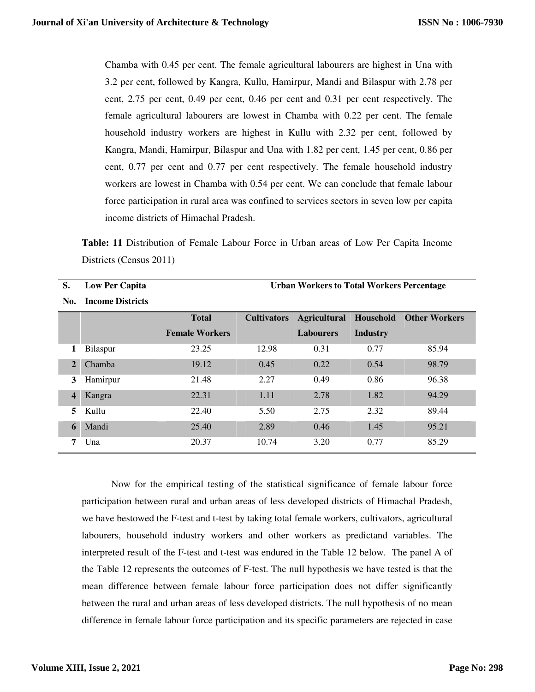Chamba with 0.45 per cent. The female agricultural labourers are highest in Una with 3.2 per cent, followed by Kangra, Kullu, Hamirpur, Mandi and Bilaspur with 2.78 per cent, 2.75 per cent, 0.49 per cent, 0.46 per cent and 0.31 per cent respectively. The female agricultural labourers are lowest in Chamba with 0.22 per cent. The female household industry workers are highest in Kullu with 2.32 per cent, followed by Kangra, Mandi, Hamirpur, Bilaspur and Una with 1.82 per cent, 1.45 per cent, 0.86 per cent, 0.77 per cent and 0.77 per cent respectively. The female household industry workers are lowest in Chamba with 0.54 per cent. We can conclude that female labour force participation in rural area was confined to services sectors in seven low per capita income districts of Himachal Pradesh.

**Table: 11** Distribution of Female Labour Force in Urban areas of Low Per Capita Income Districts (Census 2011)

| S.           | <b>Low Per Capita</b>   | <b>Urban Workers to Total Workers Percentage</b> |                    |                  |                 |                                             |  |  |
|--------------|-------------------------|--------------------------------------------------|--------------------|------------------|-----------------|---------------------------------------------|--|--|
| No.          | <b>Income Districts</b> |                                                  |                    |                  |                 |                                             |  |  |
|              |                         | <b>Total</b>                                     | <b>Cultivators</b> |                  |                 | <b>Agricultural Household Other Workers</b> |  |  |
|              |                         | <b>Female Workers</b>                            |                    | <b>Labourers</b> | <b>Industry</b> |                                             |  |  |
| 1            | Bilaspur                | 23.25                                            | 12.98              | 0.31             | 0.77            | 85.94                                       |  |  |
| $\mathbf{2}$ | Chamba                  | 19.12                                            | 0.45               | 0.22             | 0.54            | 98.79                                       |  |  |
| 3            | Hamirpur                | 21.48                                            | 2.27               | 0.49             | 0.86            | 96.38                                       |  |  |
| 4            | Kangra                  | 22.31                                            | 1.11               | 2.78             | 1.82            | 94.29                                       |  |  |
| 5.           | Kullu                   | 22.40                                            | 5.50               | 2.75             | 2.32            | 89.44                                       |  |  |
| 6            | Mandi                   | 25.40                                            | 2.89               | 0.46             | 1.45            | 95.21                                       |  |  |
|              | Una                     | 20.37                                            | 10.74              | 3.20             | 0.77            | 85.29                                       |  |  |

 Now for the empirical testing of the statistical significance of female labour force participation between rural and urban areas of less developed districts of Himachal Pradesh, we have bestowed the F-test and t-test by taking total female workers, cultivators, agricultural labourers, household industry workers and other workers as predictand variables. The interpreted result of the F-test and t-test was endured in the Table 12 below. The panel A of the Table 12 represents the outcomes of F-test. The null hypothesis we have tested is that the mean difference between female labour force participation does not differ significantly between the rural and urban areas of less developed districts. The null hypothesis of no mean difference in female labour force participation and its specific parameters are rejected in case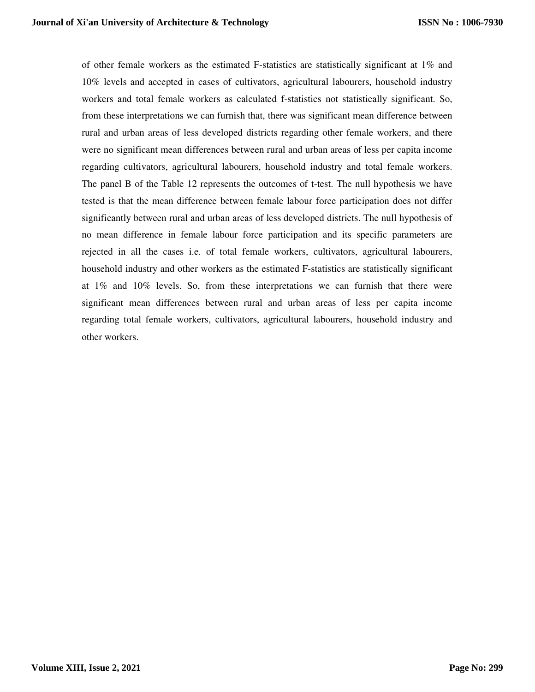of other female workers as the estimated F-statistics are statistically significant at 1% and 10% levels and accepted in cases of cultivators, agricultural labourers, household industry workers and total female workers as calculated f-statistics not statistically significant. So, from these interpretations we can furnish that, there was significant mean difference between rural and urban areas of less developed districts regarding other female workers, and there were no significant mean differences between rural and urban areas of less per capita income regarding cultivators, agricultural labourers, household industry and total female workers. The panel B of the Table 12 represents the outcomes of t-test. The null hypothesis we have tested is that the mean difference between female labour force participation does not differ significantly between rural and urban areas of less developed districts. The null hypothesis of no mean difference in female labour force participation and its specific parameters are rejected in all the cases i.e. of total female workers, cultivators, agricultural labourers, household industry and other workers as the estimated F-statistics are statistically significant at 1% and 10% levels. So, from these interpretations we can furnish that there were significant mean differences between rural and urban areas of less per capita income regarding total female workers, cultivators, agricultural labourers, household industry and other workers.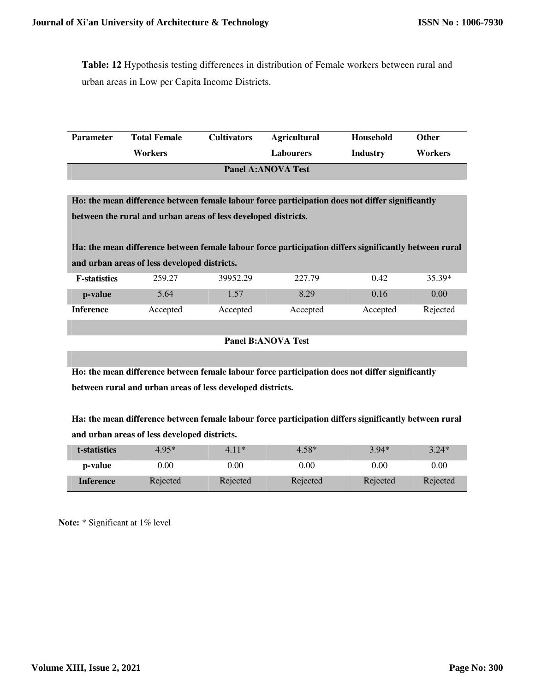**Table: 12** Hypothesis testing differences in distribution of Female workers between rural and urban areas in Low per Capita Income Districts.

| <b>Parameter</b>          | <b>Total Female</b> | <b>Cultivators</b> | <b>Agricultural</b> | Household | Other          |  |  |
|---------------------------|---------------------|--------------------|---------------------|-----------|----------------|--|--|
|                           | Workers             |                    | <b>Labourers</b>    | Industry  | <b>Workers</b> |  |  |
| <b>Panel A:ANOVA Test</b> |                     |                    |                     |           |                |  |  |

**Ho: the mean difference between female labour force participation does not differ significantly between the rural and urban areas of less developed districts.** 

**Ha: the mean difference between female labour force participation differs significantly between rural and urban areas of less developed districts.** 

| <b>F</b> -statistics | 259.27   | 39952.29 | 227.79   | 0.42     | 35.39*   |
|----------------------|----------|----------|----------|----------|----------|
| p-value              | 5.64     | .57      | 8.29     | 0.16     | 0.00     |
| <b>Inference</b>     | Accepted | Accepted | Accepted | Accepted | Rejected |

```
Panel B:ANOVA Test
```
**Ho: the mean difference between female labour force participation does not differ significantly between rural and urban areas of less developed districts.** 

**Ha: the mean difference between female labour force participation differs significantly between rural and urban areas of less developed districts.** 

| t-statistics     | $4.95*$  | $4.11*$  | $4.58*$  | $3.94*$  | $3.24*$  |
|------------------|----------|----------|----------|----------|----------|
| p-value          | $0.00\,$ | $0.00\,$ | 0.00     | 0.00     | $0.00\,$ |
| <b>Inference</b> | Rejected | Rejected | Rejected | Rejected | Rejected |

**Note:** \* Significant at 1% level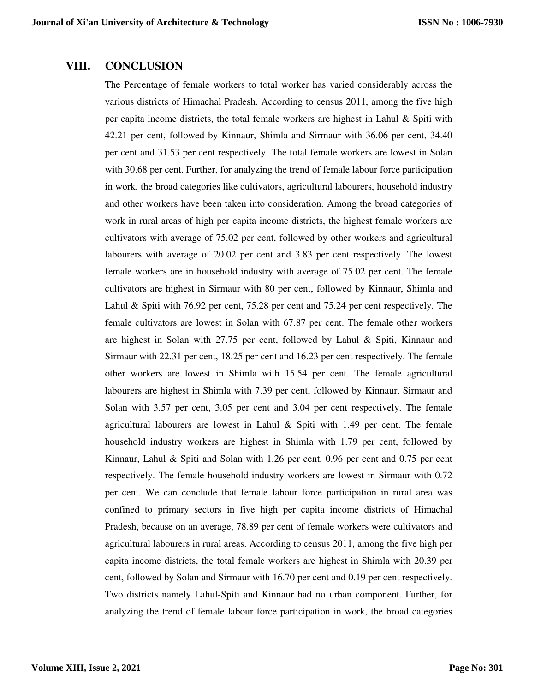#### **VIII. CONCLUSION**

The Percentage of female workers to total worker has varied considerably across the various districts of Himachal Pradesh. According to census 2011, among the five high per capita income districts, the total female workers are highest in Lahul  $\&$  Spiti with 42.21 per cent, followed by Kinnaur, Shimla and Sirmaur with 36.06 per cent, 34.40 per cent and 31.53 per cent respectively. The total female workers are lowest in Solan with 30.68 per cent. Further, for analyzing the trend of female labour force participation in work, the broad categories like cultivators, agricultural labourers, household industry and other workers have been taken into consideration. Among the broad categories of work in rural areas of high per capita income districts, the highest female workers are cultivators with average of 75.02 per cent, followed by other workers and agricultural labourers with average of 20.02 per cent and 3.83 per cent respectively. The lowest female workers are in household industry with average of 75.02 per cent. The female cultivators are highest in Sirmaur with 80 per cent, followed by Kinnaur, Shimla and Lahul & Spiti with 76.92 per cent, 75.28 per cent and 75.24 per cent respectively. The female cultivators are lowest in Solan with 67.87 per cent. The female other workers are highest in Solan with 27.75 per cent, followed by Lahul & Spiti, Kinnaur and Sirmaur with 22.31 per cent, 18.25 per cent and 16.23 per cent respectively. The female other workers are lowest in Shimla with 15.54 per cent. The female agricultural labourers are highest in Shimla with 7.39 per cent, followed by Kinnaur, Sirmaur and Solan with 3.57 per cent, 3.05 per cent and 3.04 per cent respectively. The female agricultural labourers are lowest in Lahul  $\&$  Spiti with 1.49 per cent. The female household industry workers are highest in Shimla with 1.79 per cent, followed by Kinnaur, Lahul & Spiti and Solan with 1.26 per cent, 0.96 per cent and 0.75 per cent respectively. The female household industry workers are lowest in Sirmaur with 0.72 per cent. We can conclude that female labour force participation in rural area was confined to primary sectors in five high per capita income districts of Himachal Pradesh, because on an average, 78.89 per cent of female workers were cultivators and agricultural labourers in rural areas. According to census 2011, among the five high per capita income districts, the total female workers are highest in Shimla with 20.39 per cent, followed by Solan and Sirmaur with 16.70 per cent and 0.19 per cent respectively. Two districts namely Lahul-Spiti and Kinnaur had no urban component. Further, for analyzing the trend of female labour force participation in work, the broad categories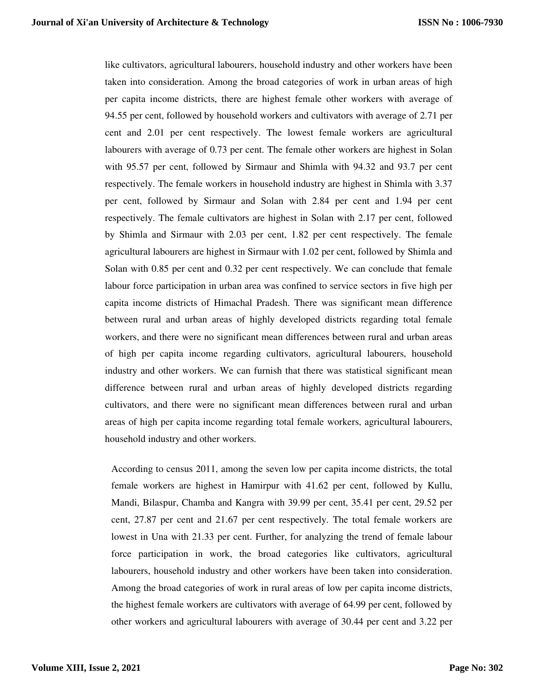like cultivators, agricultural labourers, household industry and other workers have been taken into consideration. Among the broad categories of work in urban areas of high per capita income districts, there are highest female other workers with average of 94.55 per cent, followed by household workers and cultivators with average of 2.71 per cent and 2.01 per cent respectively. The lowest female workers are agricultural labourers with average of 0.73 per cent. The female other workers are highest in Solan with 95.57 per cent, followed by Sirmaur and Shimla with 94.32 and 93.7 per cent respectively. The female workers in household industry are highest in Shimla with 3.37 per cent, followed by Sirmaur and Solan with 2.84 per cent and 1.94 per cent respectively. The female cultivators are highest in Solan with 2.17 per cent, followed by Shimla and Sirmaur with 2.03 per cent, 1.82 per cent respectively. The female agricultural labourers are highest in Sirmaur with 1.02 per cent, followed by Shimla and Solan with 0.85 per cent and 0.32 per cent respectively. We can conclude that female labour force participation in urban area was confined to service sectors in five high per capita income districts of Himachal Pradesh. There was significant mean difference between rural and urban areas of highly developed districts regarding total female workers, and there were no significant mean differences between rural and urban areas of high per capita income regarding cultivators, agricultural labourers, household industry and other workers. We can furnish that there was statistical significant mean difference between rural and urban areas of highly developed districts regarding cultivators, and there were no significant mean differences between rural and urban areas of high per capita income regarding total female workers, agricultural labourers, household industry and other workers.

According to census 2011, among the seven low per capita income districts, the total female workers are highest in Hamirpur with 41.62 per cent, followed by Kullu, Mandi, Bilaspur, Chamba and Kangra with 39.99 per cent, 35.41 per cent, 29.52 per cent, 27.87 per cent and 21.67 per cent respectively. The total female workers are lowest in Una with 21.33 per cent. Further, for analyzing the trend of female labour force participation in work, the broad categories like cultivators, agricultural labourers, household industry and other workers have been taken into consideration. Among the broad categories of work in rural areas of low per capita income districts, the highest female workers are cultivators with average of 64.99 per cent, followed by other workers and agricultural labourers with average of 30.44 per cent and 3.22 per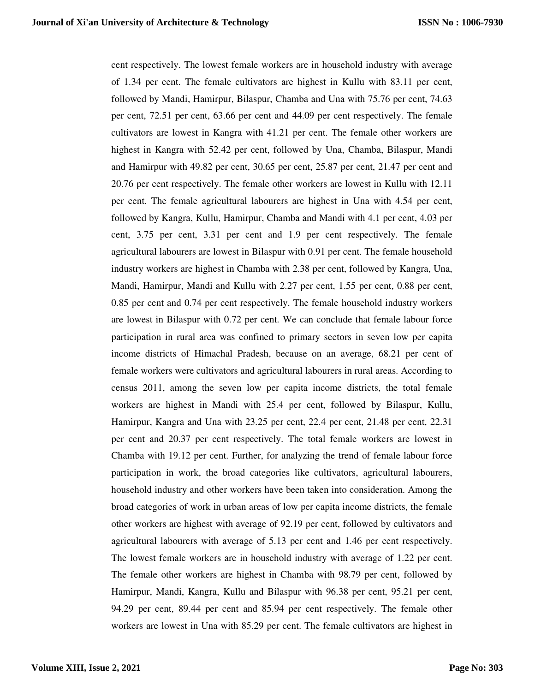cent respectively. The lowest female workers are in household industry with average of 1.34 per cent. The female cultivators are highest in Kullu with 83.11 per cent, followed by Mandi, Hamirpur, Bilaspur, Chamba and Una with 75.76 per cent, 74.63 per cent, 72.51 per cent, 63.66 per cent and 44.09 per cent respectively. The female cultivators are lowest in Kangra with 41.21 per cent. The female other workers are highest in Kangra with 52.42 per cent, followed by Una, Chamba, Bilaspur, Mandi and Hamirpur with 49.82 per cent, 30.65 per cent, 25.87 per cent, 21.47 per cent and 20.76 per cent respectively. The female other workers are lowest in Kullu with 12.11 per cent. The female agricultural labourers are highest in Una with 4.54 per cent, followed by Kangra, Kullu, Hamirpur, Chamba and Mandi with 4.1 per cent, 4.03 per cent, 3.75 per cent, 3.31 per cent and 1.9 per cent respectively. The female agricultural labourers are lowest in Bilaspur with 0.91 per cent. The female household industry workers are highest in Chamba with 2.38 per cent, followed by Kangra, Una, Mandi, Hamirpur, Mandi and Kullu with 2.27 per cent, 1.55 per cent, 0.88 per cent, 0.85 per cent and 0.74 per cent respectively. The female household industry workers are lowest in Bilaspur with 0.72 per cent. We can conclude that female labour force participation in rural area was confined to primary sectors in seven low per capita income districts of Himachal Pradesh, because on an average, 68.21 per cent of female workers were cultivators and agricultural labourers in rural areas. According to census 2011, among the seven low per capita income districts, the total female workers are highest in Mandi with 25.4 per cent, followed by Bilaspur, Kullu, Hamirpur, Kangra and Una with 23.25 per cent, 22.4 per cent, 21.48 per cent, 22.31 per cent and 20.37 per cent respectively. The total female workers are lowest in Chamba with 19.12 per cent. Further, for analyzing the trend of female labour force participation in work, the broad categories like cultivators, agricultural labourers, household industry and other workers have been taken into consideration. Among the broad categories of work in urban areas of low per capita income districts, the female other workers are highest with average of 92.19 per cent, followed by cultivators and agricultural labourers with average of 5.13 per cent and 1.46 per cent respectively. The lowest female workers are in household industry with average of 1.22 per cent. The female other workers are highest in Chamba with 98.79 per cent, followed by Hamirpur, Mandi, Kangra, Kullu and Bilaspur with 96.38 per cent, 95.21 per cent, 94.29 per cent, 89.44 per cent and 85.94 per cent respectively. The female other workers are lowest in Una with 85.29 per cent. The female cultivators are highest in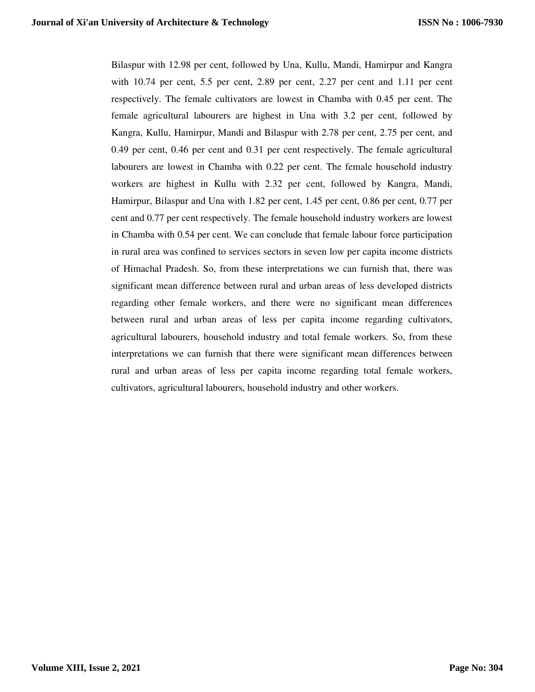Bilaspur with 12.98 per cent, followed by Una, Kullu, Mandi, Hamirpur and Kangra with 10.74 per cent, 5.5 per cent, 2.89 per cent, 2.27 per cent and 1.11 per cent respectively. The female cultivators are lowest in Chamba with 0.45 per cent. The female agricultural labourers are highest in Una with 3.2 per cent, followed by Kangra, Kullu, Hamirpur, Mandi and Bilaspur with 2.78 per cent, 2.75 per cent, and 0.49 per cent, 0.46 per cent and 0.31 per cent respectively. The female agricultural labourers are lowest in Chamba with 0.22 per cent. The female household industry workers are highest in Kullu with 2.32 per cent, followed by Kangra, Mandi, Hamirpur, Bilaspur and Una with 1.82 per cent, 1.45 per cent, 0.86 per cent, 0.77 per cent and 0.77 per cent respectively. The female household industry workers are lowest in Chamba with 0.54 per cent. We can conclude that female labour force participation in rural area was confined to services sectors in seven low per capita income districts of Himachal Pradesh. So, from these interpretations we can furnish that, there was significant mean difference between rural and urban areas of less developed districts regarding other female workers, and there were no significant mean differences between rural and urban areas of less per capita income regarding cultivators, agricultural labourers, household industry and total female workers. So, from these interpretations we can furnish that there were significant mean differences between rural and urban areas of less per capita income regarding total female workers, cultivators, agricultural labourers, household industry and other workers.